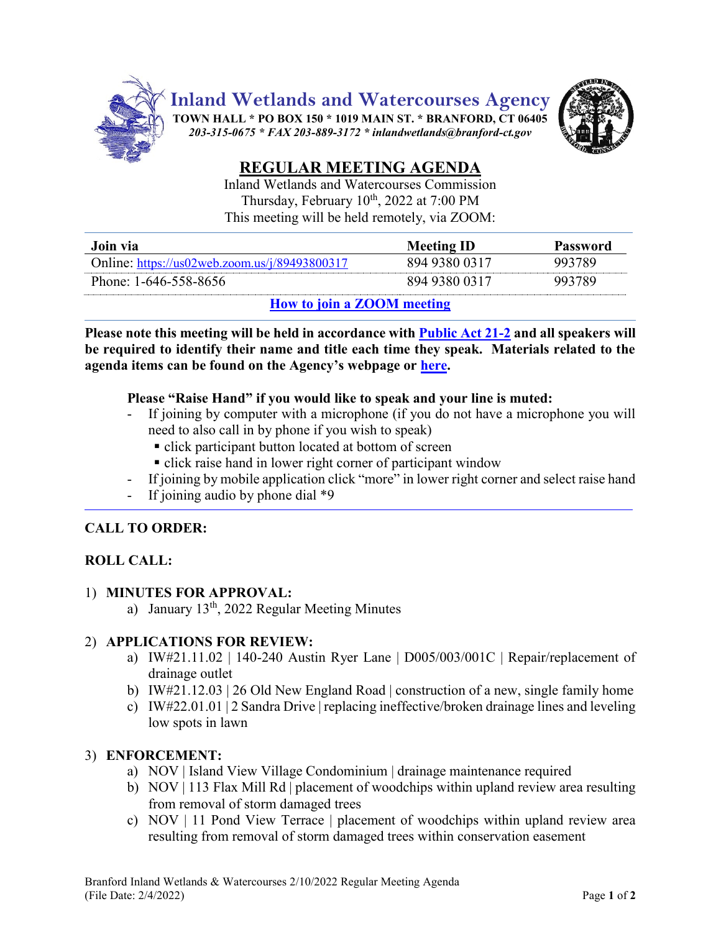



# **REGULAR MEETING AGENDA**

Inland Wetlands and Watercourses Commission Thursday, February 10<sup>th</sup>, 2022 at 7:00 PM This meeting will be held remotely, via ZOOM:

| Join via                                      | <b>Meeting ID</b> | <b>Password</b> |
|-----------------------------------------------|-------------------|-----------------|
| Online: https://us02web.zoom.us/j/89493800317 | 894 9380 0317     | 993789          |
| Phone: $1-646-558-8656$                       | 894 9380 0317     | 993789          |
| $\mathbf{H}$ $\mathbf{H}$ $\mathbf{H}$        |                   |                 |

# **How [to join a ZOOM meeting](https://www.youtube.com/embed/hIkCmbvAHQQ?rel=0&autoplay=1&cc_load_policy=1)**

**Please note this meeting will be held in accordance wit[h Public Act 21-2](https://www.cga.ct.gov/2021/ACT/PA/PDF/2021PA-00002-R00SB-01202SS1-PA.PDF) and all speakers will be required to identify their name and title each time they speak. Materials related to the agenda items can be found on the Agency's webpage or [here.](https://www.dropbox.com/sh/aaqscumbqriwlm5/AADJjQJHfo-OSq0EKF8GdRqaa?dl=0)**

# **Please "Raise Hand" if you would like to speak and your line is muted:**

- If joining by computer with a microphone (if you do not have a microphone you will need to also call in by phone if you wish to speak)
	- click participant button located at bottom of screen
	- click raise hand in lower right corner of participant window
- If joining by mobile application click "more" in lower right corner and select raise hand
- If joining audio by phone dial  $*9$

# **CALL TO ORDER:**

# **ROLL CALL:**

#### 1) **MINUTES FOR APPROVAL:**

a) January 13<sup>th</sup>, 2022 Regular Meeting Minutes

# 2) **APPLICATIONS FOR REVIEW:**

- a) IW#21.11.02 | 140-240 Austin Ryer Lane |  $D005/003/001C$  | Repair/replacement of drainage outlet
- b) IW#21.12.03 | 26 Old New England Road | construction of a new, single family home
- c) IW#22.01.01 | 2 Sandra Drive | replacing ineffective/broken drainage lines and leveling low spots in lawn

# 3) **ENFORCEMENT:**

- a) NOV | Island View Village Condominium | drainage maintenance required
- b) NOV | 113 Flax Mill Rd | placement of woodchips within upland review area resulting from removal of storm damaged trees
- c) NOV | 11 Pond View Terrace | placement of woodchips within upland review area resulting from removal of storm damaged trees within conservation easement